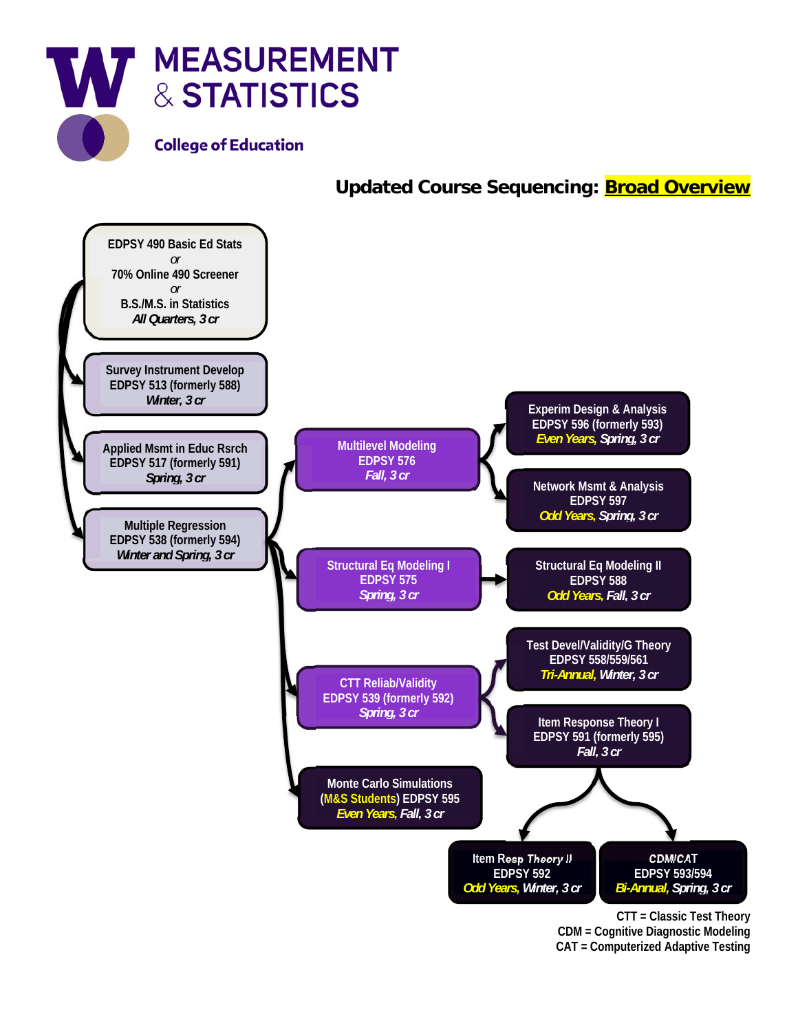

## **Updated Course Sequencing: Broad Overview**



**CTT = Classic Test Theory CDM = Cognitive Diagnostic Modeling CAT = Computerized Adaptive Testing**